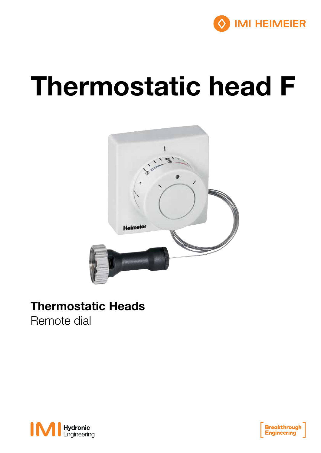

# Thermostatic head F



### Thermostatic Heads

Remote dial



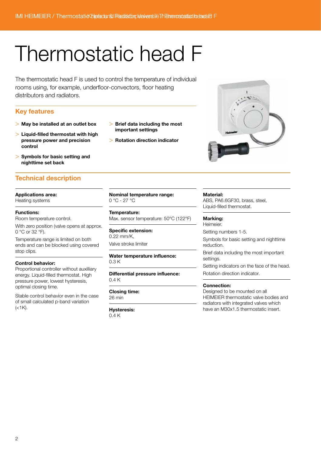## Thermostatic head F

The thermostatic head F is used to control the temperature of individual rooms using, for example, underfloor-convectors, floor heating distributors and radiators.

#### Key features

- > May be installed at an outlet box
- $>$  Liquid-filled thermostat with high pressure power and precision control
- > Symbols for basic setting and nighttime set back

### Technical description

#### Applications area:

Heating systems

#### Functions:

Room temperature control.

With zero position (valve opens at approx. 0 °C or 32 °F).

Temperature range is limited on both ends and can be blocked using covered stop clips.

#### Control behavior:

Proportional controller without auxilliary energy. Liquid-filled thermostat. High pressure power, lowest hysteresis, optimal closing time.

Stable control behavior even in the case of small calculated p-band variation  $(<1K)$ .

- > Brief data including the most important settings
- > Rotation direction indicator



#### Nominal temperature range: 0 °C - 27 °C

Temperature:

Max. sensor temperature: 50°C (122°F)

Specific extension: 0.22 mm/K, Valve stroke limiter

#### Water temperature influence: 0.3 K

Differential pressure influence: 0.4 K

#### Closing time: 26 min

Hysteresis: 0.4 K

#### Material:

ABS, PA6.6GF30, brass, steel, Liquid-filled thermostat.

Marking: Heimeier.

Setting numbers 1-5.

Symbols for basic setting and nighttime reduction.

Brief data including the most important settings.

Setting indicators on the face of the head. Rotation direction indicator.

#### Connection:

Designed to be mounted on all HEIMEIER thermostatic valve bodies and radiators with integrated valves which have an M30x1.5 thermostatic insert.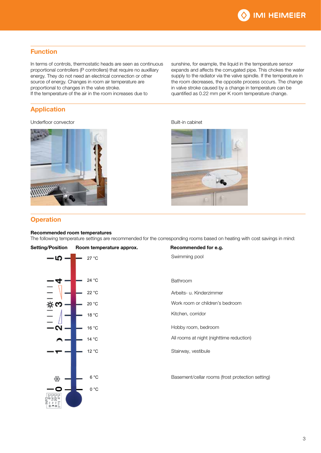

#### Function

In terms of controls, thermostatic heads are seen as continuous proportional controllers (P controllers) that require no auxilliary energy. They do not need an electrical connection or other source of energy. Changes in room air temperature are proportional to changes in the valve stroke.

If the temperature of the air in the room increases due to

### Application

#### Underfloor convector example and the Underfloor convector and the Built-in cabinet



sunshine, for example, the liquid in the temperature sensor expands and affects the corrugated pipe. This chokes the water supply to the radiator via the valve spindle. If the temperature in the room decreases, the opposite process occurs. The change in valve stroke caused by a change in temperature can be quantified as 0.22 mm per K room temperature change.



#### **Operation**

#### Recommended room temperatures

The following temperature settings are recommended for the corresponding rooms based on heating with cost savings in mind: